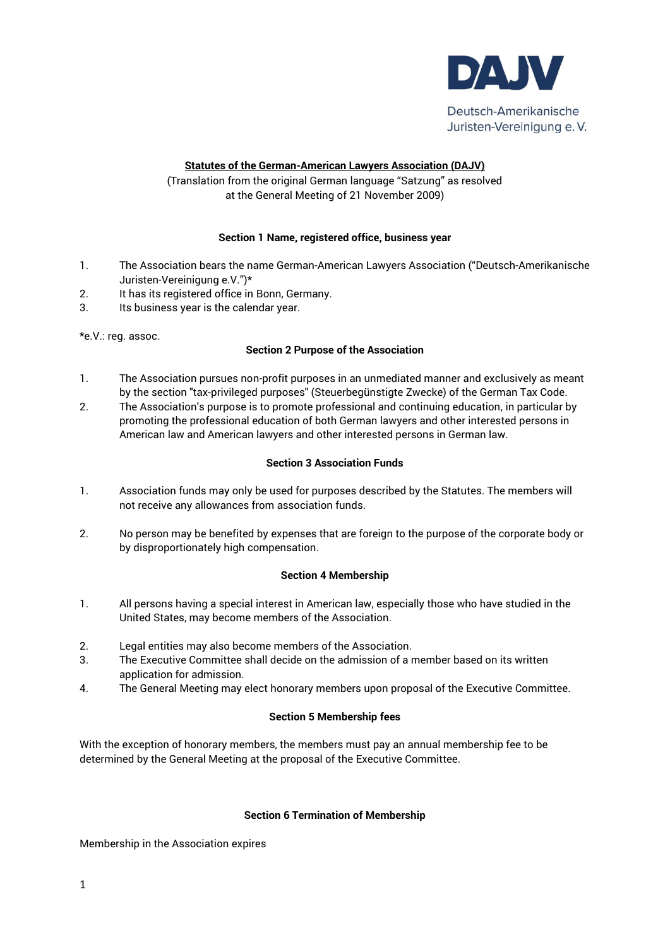

### **Statutes of the German-American Lawyers Association (DAJV)**

(Translation from the original German language "Satzung" as resolved at the General Meeting of 21 November 2009)

#### **Section 1 Name, registered office, business year**

- 1. The Association bears the name German-American Lawyers Association ("Deutsch-Amerikanische Juristen-Vereinigung e.V.")\*
- 2. It has its registered office in Bonn, Germany.
- 3. Its business year is the calendar year.

\*e.V.: reg. assoc.

### **Section 2 Purpose of the Association**

- 1. The Association pursues non-profit purposes in an unmediated manner and exclusively as meant by the section "tax-privileged purposes" (Steuerbegünstigte Zwecke) of the German Tax Code.
- 2. The Association's purpose is to promote professional and continuing education, in particular by promoting the professional education of both German lawyers and other interested persons in American law and American lawyers and other interested persons in German law.

### **Section 3 Association Funds**

- 1. Association funds may only be used for purposes described by the Statutes. The members will not receive any allowances from association funds.
- 2. No person may be benefited by expenses that are foreign to the purpose of the corporate body or by disproportionately high compensation.

# **Section 4 Membership**

- 1. All persons having a special interest in American law, especially those who have studied in the United States, may become members of the Association.
- 2. Legal entities may also become members of the Association.
- 3. The Executive Committee shall decide on the admission of a member based on its written application for admission.
- 4. The General Meeting may elect honorary members upon proposal of the Executive Committee.

# **Section 5 Membership fees**

With the exception of honorary members, the members must pay an annual membership fee to be determined by the General Meeting at the proposal of the Executive Committee.

#### **Section 6 Termination of Membership**

Membership in the Association expires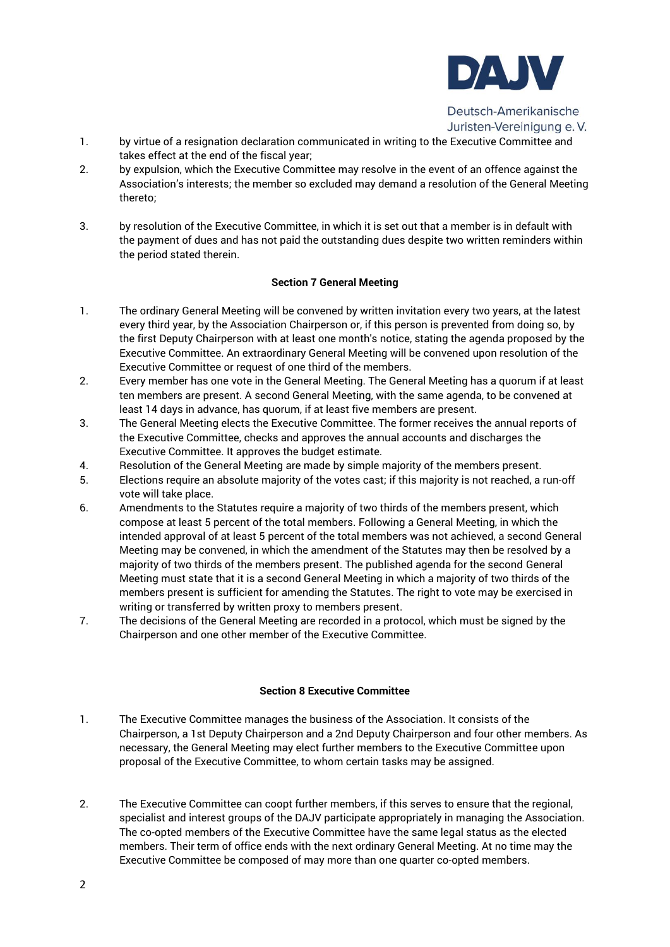

Deutsch-Amerikanische Juristen-Vereinigung e.V.

- 1. by virtue of a resignation declaration communicated in writing to the Executive Committee and takes effect at the end of the fiscal year;
- 2. by expulsion, which the Executive Committee may resolve in the event of an offence against the Association's interests; the member so excluded may demand a resolution of the General Meeting thereto;
- 3. by resolution of the Executive Committee, in which it is set out that a member is in default with the payment of dues and has not paid the outstanding dues despite two written reminders within the period stated therein.

# **Section 7 General Meeting**

- 1. The ordinary General Meeting will be convened by written invitation every two years, at the latest every third year, by the Association Chairperson or, if this person is prevented from doing so, by the first Deputy Chairperson with at least one month's notice, stating the agenda proposed by the Executive Committee. An extraordinary General Meeting will be convened upon resolution of the Executive Committee or request of one third of the members.
- 2. Every member has one vote in the General Meeting. The General Meeting has a quorum if at least ten members are present. A second General Meeting, with the same agenda, to be convened at least 14 days in advance, has quorum, if at least five members are present.
- 3. The General Meeting elects the Executive Committee. The former receives the annual reports of the Executive Committee, checks and approves the annual accounts and discharges the Executive Committee. It approves the budget estimate.
- 4. Resolution of the General Meeting are made by simple majority of the members present.
- 5. Elections require an absolute majority of the votes cast; if this majority is not reached, a run-off vote will take place.
- 6. Amendments to the Statutes require a majority of two thirds of the members present, which compose at least 5 percent of the total members. Following a General Meeting, in which the intended approval of at least 5 percent of the total members was not achieved, a second General Meeting may be convened, in which the amendment of the Statutes may then be resolved by a majority of two thirds of the members present. The published agenda for the second General Meeting must state that it is a second General Meeting in which a majority of two thirds of the members present is sufficient for amending the Statutes. The right to vote may be exercised in writing or transferred by written proxy to members present.
- 7. The decisions of the General Meeting are recorded in a protocol, which must be signed by the Chairperson and one other member of the Executive Committee.

#### **Section 8 Executive Committee**

- 1. The Executive Committee manages the business of the Association. It consists of the Chairperson, a 1st Deputy Chairperson and a 2nd Deputy Chairperson and four other members. As necessary, the General Meeting may elect further members to the Executive Committee upon proposal of the Executive Committee, to whom certain tasks may be assigned.
- 2. The Executive Committee can coopt further members, if this serves to ensure that the regional, specialist and interest groups of the DAJV participate appropriately in managing the Association. The co-opted members of the Executive Committee have the same legal status as the elected members. Their term of office ends with the next ordinary General Meeting. At no time may the Executive Committee be composed of may more than one quarter co-opted members.